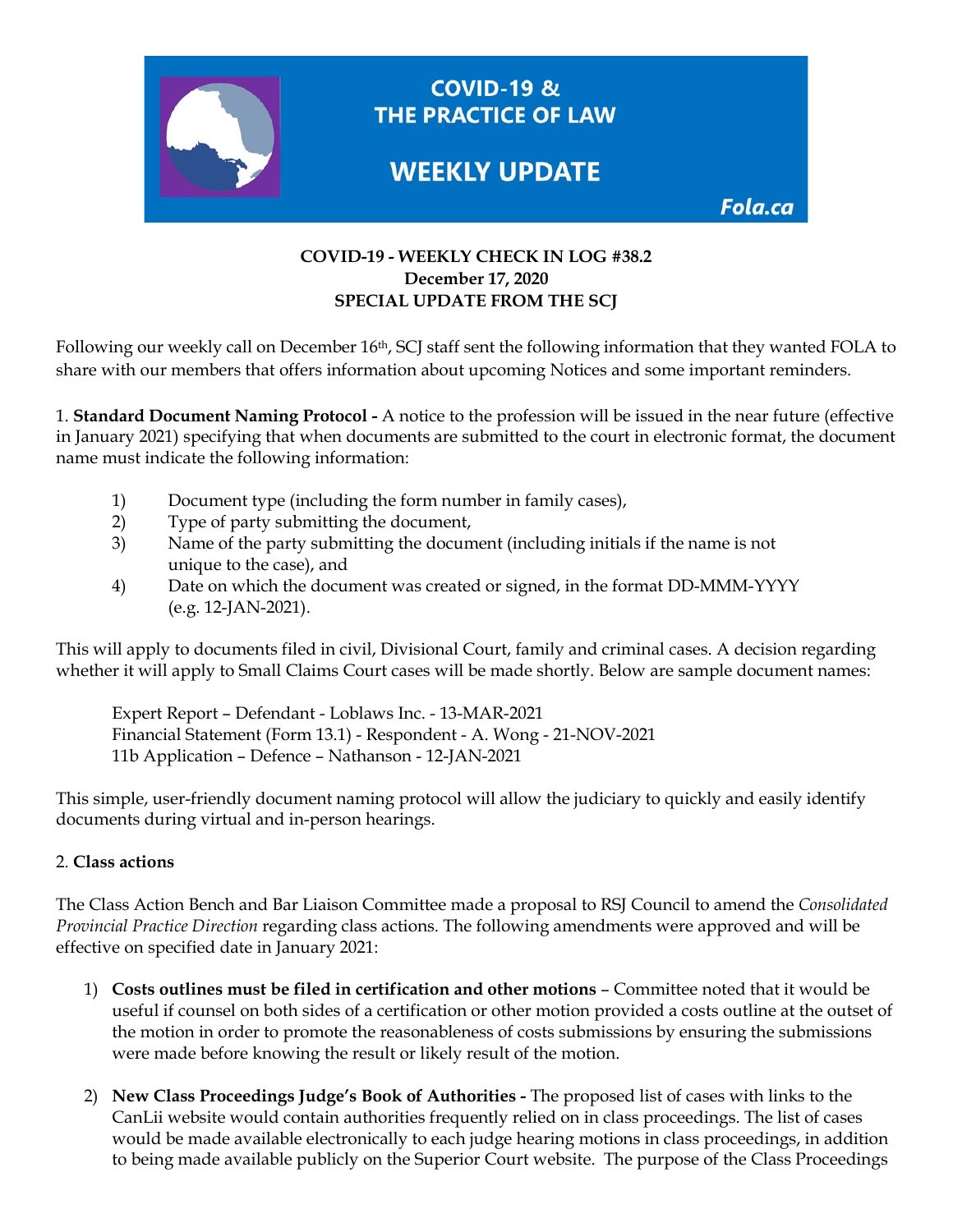

## **COVID-19 - WEEKLY CHECK IN LOG #38.2 December 17, 2020 SPECIAL UPDATE FROM THE SCJ**

Following our weekly call on December 16th, SCJ staff sent the following information that they wanted FOLA to share with our members that offers information about upcoming Notices and some important reminders.

1. **Standard Document Naming Protocol -** A notice to the profession will be issued in the near future (effective in January 2021) specifying that when documents are submitted to the court in electronic format, the document name must indicate the following information:

- 1) Document type (including the form number in family cases),
- 2) Type of party submitting the document,
- 3) Name of the party submitting the document (including initials if the name is not unique to the case), and
- 4) Date on which the document was created or signed, in the format DD-MMM-YYYY (e.g. 12-JAN-2021).

This will apply to documents filed in civil, Divisional Court, family and criminal cases. A decision regarding whether it will apply to Small Claims Court cases will be made shortly. Below are sample document names:

Expert Report – Defendant - Loblaws Inc. - 13-MAR-2021 Financial Statement (Form 13.1) - Respondent - A. Wong - 21-NOV-2021 11b Application – Defence – Nathanson - 12-JAN-2021

This simple, user-friendly document naming protocol will allow the judiciary to quickly and easily identify documents during virtual and in-person hearings.

### 2. **Class actions**

The Class Action Bench and Bar Liaison Committee made a proposal to RSJ Council to amend the *Consolidated Provincial Practice Direction* regarding class actions. The following amendments were approved and will be effective on specified date in January 2021:

- 1) **Costs outlines must be filed in certification and other motions** Committee noted that it would be useful if counsel on both sides of a certification or other motion provided a costs outline at the outset of the motion in order to promote the reasonableness of costs submissions by ensuring the submissions were made before knowing the result or likely result of the motion.
- 2) **New Class Proceedings Judge's Book of Authorities -** The proposed list of cases with links to the CanLii website would contain authorities frequently relied on in class proceedings. The list of cases would be made available electronically to each judge hearing motions in class proceedings, in addition to being made available publicly on the Superior Court website. The purpose of the Class Proceedings